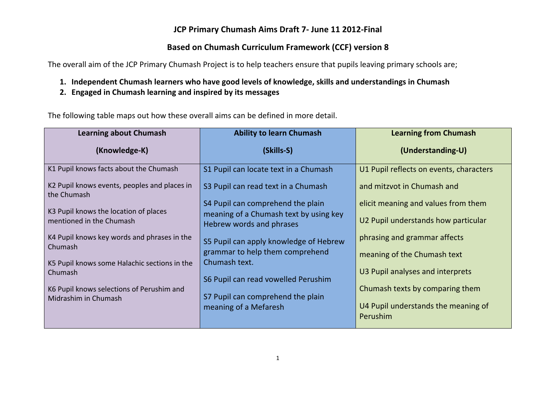#### **JCP Primary Chumash Aims Draft 7- June 11 2012-Final**

#### **Based on Chumash Curriculum Framework (CCF) version 8**

The overall aim of the JCP Primary Chumash Project is to help teachers ensure that pupils leaving primary schools are;

- **1. Independent Chumash learners who have good levels of knowledge, skills and understandings in Chumash**
- **2. Engaged in Chumash learning and inspired by its messages**

The following table maps out how these overall aims can be defined in more detail.

| <b>Learning about Chumash</b>                               | <b>Ability to learn Chumash</b>                                    | <b>Learning from Chumash</b>            |
|-------------------------------------------------------------|--------------------------------------------------------------------|-----------------------------------------|
| (Knowledge-K)                                               | (Skills-S)                                                         | (Understanding-U)                       |
| K1 Pupil knows facts about the Chumash                      | S1 Pupil can locate text in a Chumash                              | U1 Pupil reflects on events, characters |
| K2 Pupil knows events, peoples and places in<br>the Chumash | S3 Pupil can read text in a Chumash                                | and mitzvot in Chumash and              |
| K3 Pupil knows the location of places                       | S4 Pupil can comprehend the plain                                  | elicit meaning and values from them     |
| mentioned in the Chumash                                    | meaning of a Chumash text by using key<br>Hebrew words and phrases | U2 Pupil understands how particular     |
| K4 Pupil knows key words and phrases in the<br>Chumash      | S5 Pupil can apply knowledge of Hebrew                             | phrasing and grammar affects            |
| K5 Pupil knows some Halachic sections in the                | grammar to help them comprehend<br>Chumash text.                   | meaning of the Chumash text             |
| Chumash                                                     | S6 Pupil can read vowelled Perushim                                | U3 Pupil analyses and interprets        |
| K6 Pupil knows selections of Perushim and                   |                                                                    | Chumash texts by comparing them         |
| Midrashim in Chumash                                        | S7 Pupil can comprehend the plain<br>meaning of a Mefaresh         | U4 Pupil understands the meaning of     |
|                                                             |                                                                    | Perushim                                |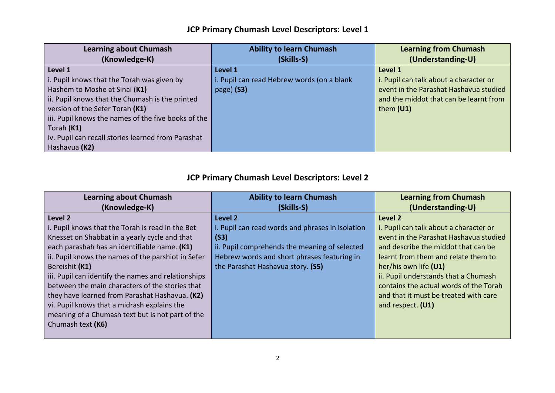### **JCP Primary Chumash Level Descriptors: Level 1**

| <b>Learning about Chumash</b>                       | <b>Ability to learn Chumash</b>            | <b>Learning from Chumash</b>           |
|-----------------------------------------------------|--------------------------------------------|----------------------------------------|
| (Knowledge-K)                                       | (Skills-S)                                 | (Understanding-U)                      |
| Level 1                                             | Level 1                                    | Level 1                                |
| i. Pupil knows that the Torah was given by          | i. Pupil can read Hebrew words (on a blank | i. Pupil can talk about a character or |
| Hashem to Moshe at Sinai (K1)                       | $page)$ (S3)                               | event in the Parashat Hashavua studied |
| ii. Pupil knows that the Chumash is the printed     |                                            | and the middot that can be learnt from |
| version of the Sefer Torah (K1)                     |                                            | them $(U1)$                            |
| iii. Pupil knows the names of the five books of the |                                            |                                        |
| Torah (K1)                                          |                                            |                                        |
| iv. Pupil can recall stories learned from Parashat  |                                            |                                        |
| Hashavua (K2)                                       |                                            |                                        |

### **JCP Primary Chumash Level Descriptors: Level 2**

| <b>Learning about Chumash</b>                                                                                                                                                                                                                                                               | <b>Ability to learn Chumash</b>                                                                                                                                                                          | <b>Learning from Chumash</b>                                                                                                                                                                                                               |
|---------------------------------------------------------------------------------------------------------------------------------------------------------------------------------------------------------------------------------------------------------------------------------------------|----------------------------------------------------------------------------------------------------------------------------------------------------------------------------------------------------------|--------------------------------------------------------------------------------------------------------------------------------------------------------------------------------------------------------------------------------------------|
| (Knowledge-K)                                                                                                                                                                                                                                                                               | (Skills-S)                                                                                                                                                                                               | (Understanding-U)                                                                                                                                                                                                                          |
| Level 2<br>i. Pupil knows that the Torah is read in the Bet<br>Knesset on Shabbat in a yearly cycle and that<br>each parashah has an identifiable name. (K1)<br>ii. Pupil knows the names of the parshiot in Sefer<br>Bereishit (K1)<br>iii. Pupil can identify the names and relationships | Level 2<br>i. Pupil can read words and phrases in isolation<br>(S3)<br>ii. Pupil comprehends the meaning of selected<br>Hebrew words and short phrases featuring in<br>the Parashat Hashavua story. (S5) | Level 2<br>i. Pupil can talk about a character or<br>event in the Parashat Hashavua studied<br>and describe the middot that can be<br>learnt from them and relate them to<br>her/his own life (U1)<br>ii. Pupil understands that a Chumash |
| between the main characters of the stories that<br>they have learned from Parashat Hashavua. (K2)<br>vi. Pupil knows that a midrash explains the<br>meaning of a Chumash text but is not part of the<br>Chumash text (K6)                                                                   |                                                                                                                                                                                                          | contains the actual words of the Torah<br>and that it must be treated with care<br>and respect. (U1)                                                                                                                                       |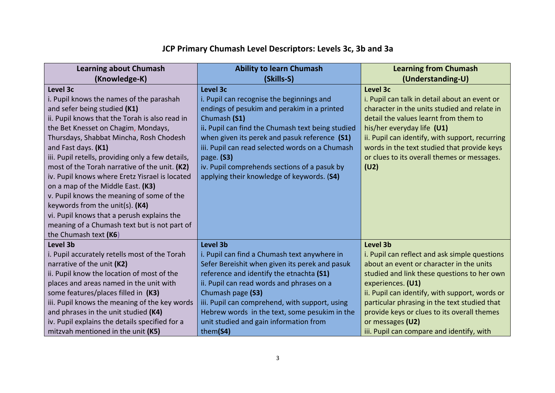# **JCP Primary Chumash Level Descriptors: Levels 3c, 3b and 3a**

| (Skills-S)<br>Level 3c                                                                                                                                                                                                                                                                                                                                    | (Understanding-U)<br>Level 3c                                                                                                                                                                                                                                                                                                                                                   |
|-----------------------------------------------------------------------------------------------------------------------------------------------------------------------------------------------------------------------------------------------------------------------------------------------------------------------------------------------------------|---------------------------------------------------------------------------------------------------------------------------------------------------------------------------------------------------------------------------------------------------------------------------------------------------------------------------------------------------------------------------------|
|                                                                                                                                                                                                                                                                                                                                                           |                                                                                                                                                                                                                                                                                                                                                                                 |
| endings of pesukim and perakim in a printed<br>Chumash (S1)<br>ii. Pupil can find the Chumash text being studied                                                                                                                                                                                                                                          | i. Pupil can talk in detail about an event or<br>character in the units studied and relate in<br>detail the values learnt from them to<br>his/her everyday life (U1)<br>ii. Pupil can identify, with support, recurring                                                                                                                                                         |
| iii. Pupil can read selected words on a Chumash<br>page. (S3)<br>iv. Pupil comprehends sections of a pasuk by<br>applying their knowledge of keywords. (S4)                                                                                                                                                                                               | words in the text studied that provide keys<br>or clues to its overall themes or messages.<br>(U2)                                                                                                                                                                                                                                                                              |
|                                                                                                                                                                                                                                                                                                                                                           | <b>Level 3b</b>                                                                                                                                                                                                                                                                                                                                                                 |
| i. Pupil can find a Chumash text anywhere in<br>Sefer Bereishit when given its perek and pasuk<br>reference and identify the etnachta (S1)<br>ii. Pupil can read words and phrases on a<br>Chumash page (S3)<br>iii. Pupil can comprehend, with support, using<br>Hebrew words in the text, some pesukim in the<br>unit studied and gain information from | i. Pupil can reflect and ask simple questions<br>about an event or character in the units<br>studied and link these questions to her own<br>experiences. (U1)<br>ii. Pupil can identify, with support, words or<br>particular phrasing in the text studied that<br>provide keys or clues to its overall themes<br>or messages (U2)<br>iii. Pupil can compare and identify, with |
|                                                                                                                                                                                                                                                                                                                                                           | i. Pupil can recognise the beginnings and<br>when given its perek and pasuk reference (S1)<br>Level 3b<br>them(S4)                                                                                                                                                                                                                                                              |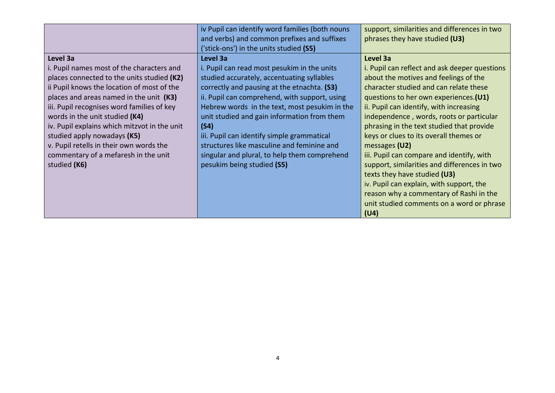|                                              | iv Pupil can identify word families (both nouns | support, similarities and differences in two  |
|----------------------------------------------|-------------------------------------------------|-----------------------------------------------|
|                                              | and verbs) and common prefixes and suffixes     | phrases they have studied (U3)                |
|                                              | 'stick-ons') in the units studied (S5)          |                                               |
| Level 3a                                     | Level 3a                                        | Level 3a                                      |
| i. Pupil names most of the characters and    | i. Pupil can read most pesukim in the units     | i. Pupil can reflect and ask deeper questions |
| places connected to the units studied (K2)   | studied accurately, accentuating syllables      | about the motives and feelings of the         |
| ii Pupil knows the location of most of the   | correctly and pausing at the etnachta. (S3)     | character studied and can relate these        |
| places and areas named in the unit (K3)      | ii. Pupil can comprehend, with support, using   | questions to her own experiences. (U1)        |
| iii. Pupil recognises word families of key   | Hebrew words in the text, most pesukim in the   | ii. Pupil can identify, with increasing       |
| words in the unit studied (K4)               | unit studied and gain information from them     | independence, words, roots or particular      |
| iv. Pupil explains which mitzvot in the unit | (S4)                                            | phrasing in the text studied that provide     |
| studied apply nowadays (K5)                  | iii. Pupil can identify simple grammatical      | keys or clues to its overall themes or        |
| v. Pupil retells in their own words the      | structures like masculine and feminine and      | messages (U2)                                 |
| commentary of a mefaresh in the unit         | singular and plural, to help them comprehend    | iii. Pupil can compare and identify, with     |
| studied (K6)                                 | pesukim being studied (S5)                      | support, similarities and differences in two  |
|                                              |                                                 | texts they have studied (U3)                  |
|                                              |                                                 | iv. Pupil can explain, with support, the      |
|                                              |                                                 | reason why a commentary of Rashi in the       |
|                                              |                                                 | unit studied comments on a word or phrase     |
|                                              |                                                 | (U4)                                          |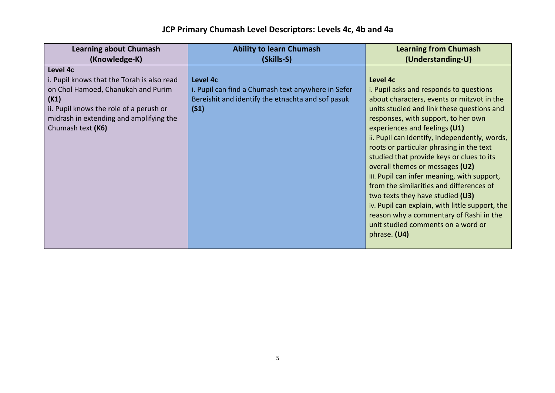| <b>Learning about Chumash</b>                                                                                                                                                                                   | <b>Ability to learn Chumash</b>                                                                                             | <b>Learning from Chumash</b>                                                                                                                                                                                                                                                                                                                                                                                                                                                                                                                                                                                                                                                                   |
|-----------------------------------------------------------------------------------------------------------------------------------------------------------------------------------------------------------------|-----------------------------------------------------------------------------------------------------------------------------|------------------------------------------------------------------------------------------------------------------------------------------------------------------------------------------------------------------------------------------------------------------------------------------------------------------------------------------------------------------------------------------------------------------------------------------------------------------------------------------------------------------------------------------------------------------------------------------------------------------------------------------------------------------------------------------------|
| (Knowledge-K)                                                                                                                                                                                                   | (Skills-S)                                                                                                                  | (Understanding-U)                                                                                                                                                                                                                                                                                                                                                                                                                                                                                                                                                                                                                                                                              |
| Level 4c<br>i. Pupil knows that the Torah is also read<br>on Chol Hamoed, Chanukah and Purim<br>(K1)<br>ii. Pupil knows the role of a perush or<br>midrash in extending and amplifying the<br>Chumash text (K6) | Level 4c<br>i. Pupil can find a Chumash text anywhere in Sefer<br>Bereishit and identify the etnachta and sof pasuk<br>(S1) | Level 4c<br><i>i.</i> Pupil asks and responds to questions<br>about characters, events or mitzvot in the<br>units studied and link these questions and<br>responses, with support, to her own<br>experiences and feelings (U1)<br>ii. Pupil can identify, independently, words,<br>roots or particular phrasing in the text<br>studied that provide keys or clues to its<br>overall themes or messages (U2)<br>iii. Pupil can infer meaning, with support,<br>from the similarities and differences of<br>two texts they have studied (U3)<br>iv. Pupil can explain, with little support, the<br>reason why a commentary of Rashi in the<br>unit studied comments on a word or<br>phrase. (U4) |

## **JCP Primary Chumash Level Descriptors: Levels 4c, 4b and 4a**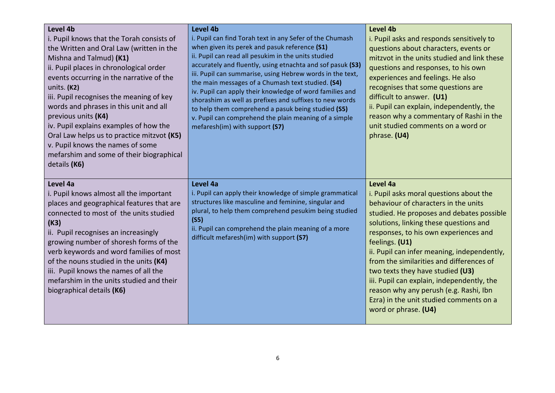| Level 4b<br>i. Pupil knows that the Torah consists of<br>the Written and Oral Law (written in the<br>Mishna and Talmud) (K1)<br>ii. Pupil places in chronological order<br>events occurring in the narrative of the<br>units. (K2)<br>iii. Pupil recognises the meaning of key<br>words and phrases in this unit and all<br>previous units (K4)<br>iv. Pupil explains examples of how the<br>Oral Law helps us to practice mitzvot (K5)<br>v. Pupil knows the names of some<br>mefarshim and some of their biographical<br>details (K6) | Level 4b<br>i. Pupil can find Torah text in any Sefer of the Chumash<br>when given its perek and pasuk reference (S1)<br>ii. Pupil can read all pesukim in the units studied<br>accurately and fluently, using etnachta and sof pasuk (S3)<br>iii. Pupil can summarise, using Hebrew words in the text,<br>the main messages of a Chumash text studied. (S4)<br>iv. Pupil can apply their knowledge of word families and<br>shorashim as well as prefixes and suffixes to new words<br>to help them comprehend a pasuk being studied (S5)<br>v. Pupil can comprehend the plain meaning of a simple<br>mefaresh(im) with support (S7) | Level 4b<br>i. Pupil asks and responds sensitively to<br>questions about characters, events or<br>mitzvot in the units studied and link these<br>questions and responses, to his own<br>experiences and feelings. He also<br>recognises that some questions are<br>difficult to answer. (U1)<br>ii. Pupil can explain, independently, the<br>reason why a commentary of Rashi in the<br>unit studied comments on a word or<br>phrase. (U4)                                                                                              |
|-----------------------------------------------------------------------------------------------------------------------------------------------------------------------------------------------------------------------------------------------------------------------------------------------------------------------------------------------------------------------------------------------------------------------------------------------------------------------------------------------------------------------------------------|--------------------------------------------------------------------------------------------------------------------------------------------------------------------------------------------------------------------------------------------------------------------------------------------------------------------------------------------------------------------------------------------------------------------------------------------------------------------------------------------------------------------------------------------------------------------------------------------------------------------------------------|-----------------------------------------------------------------------------------------------------------------------------------------------------------------------------------------------------------------------------------------------------------------------------------------------------------------------------------------------------------------------------------------------------------------------------------------------------------------------------------------------------------------------------------------|
| Level 4a<br>i. Pupil knows almost all the important<br>places and geographical features that are<br>connected to most of the units studied<br>(K3)<br>ii. Pupil recognises an increasingly<br>growing number of shoresh forms of the<br>verb keywords and word families of most<br>of the nouns studied in the units (K4)<br>iii. Pupil knows the names of all the<br>mefarshim in the units studied and their<br>biographical details (K6)                                                                                             | Level 4a<br>i. Pupil can apply their knowledge of simple grammatical<br>structures like masculine and feminine, singular and<br>plural, to help them comprehend pesukim being studied<br>(S5)<br>ii. Pupil can comprehend the plain meaning of a more<br>difficult mefaresh(im) with support (S7)                                                                                                                                                                                                                                                                                                                                    | Level 4a<br>i. Pupil asks moral questions about the<br>behaviour of characters in the units<br>studied. He proposes and debates possible<br>solutions, linking these questions and<br>responses, to his own experiences and<br>feelings. (U1)<br>ii. Pupil can infer meaning, independently,<br>from the similarities and differences of<br>two texts they have studied (U3)<br>iii. Pupil can explain, independently, the<br>reason why any perush (e.g. Rashi, Ibn<br>Ezra) in the unit studied comments on a<br>word or phrase. (U4) |